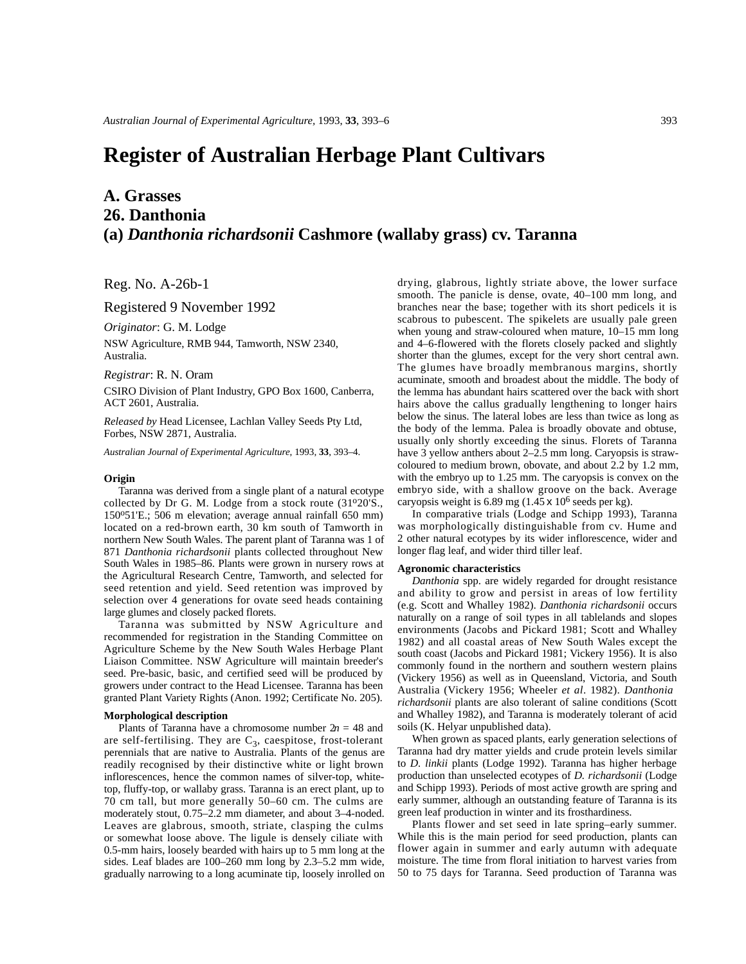# **Register of Australian Herbage Plant Cultivars**

## **A. Grasses 26. Danthonia (a)** *Danthonia richardsonii* **Cashmore (wallaby grass) cv. Taranna**

Reg. No. A-26b-1

Registered 9 November 1992

*Originator*: G. M. Lodge

NSW Agriculture, RMB 944, Tamworth, NSW 2340, Australia.

*Registrar*: R. N. Oram

CSIRO Division of Plant Industry, GPO Box 1600, Canberra, ACT 2601, Australia.

*Released by* Head Licensee, Lachlan Valley Seeds Pty Ltd, Forbes, NSW 2871, Australia.

*Australian Journal of Experimental Agriculture*, 1993, **33**, 393–4.

#### **Origin**

Taranna was derived from a single plant of a natural ecotype collected by Dr G. M. Lodge from a stock route (31°20'S., 150o51'E.; 506 m elevation; average annual rainfall 650 mm) located on a red-brown earth, 30 km south of Tamworth in northern New South Wales. The parent plant of Taranna was 1 of 871 *Danthonia richardsonii* plants collected throughout New South Wales in 1985–86. Plants were grown in nursery rows at the Agricultural Research Centre, Tamworth, and selected for seed retention and yield. Seed retention was improved by selection over 4 generations for ovate seed heads containing large glumes and closely packed florets.

Taranna was submitted by NSW Agriculture and recommended for registration in the Standing Committee on Agriculture Scheme by the New South Wales Herbage Plant Liaison Committee. NSW Agriculture will maintain breeder's seed. Pre-basic, basic, and certified seed will be produced by growers under contract to the Head Licensee. Taranna has been granted Plant Variety Rights (Anon. 1992; Certificate No. 205).

### **Morphological description**

Plants of Taranna have a chromosome number  $2n = 48$  and are self-fertilising. They are  $C_3$ , caespitose, frost-tolerant perennials that are native to Australia. Plants of the genus are readily recognised by their distinctive white or light brown inflorescences, hence the common names of silver-top, whitetop, fluffy-top, or wallaby grass. Taranna is an erect plant, up to 70 cm tall, but more generally 50–60 cm. The culms are moderately stout, 0.75–2.2 mm diameter, and about 3–4-noded. Leaves are glabrous, smooth, striate, clasping the culms or somewhat loose above. The ligule is densely ciliate with 0.5-mm hairs, loosely bearded with hairs up to 5 mm long at the sides. Leaf blades are 100–260 mm long by 2.3–5.2 mm wide, gradually narrowing to a long acuminate tip, loosely inrolled on

drying, glabrous, lightly striate above, the lower surface smooth. The panicle is dense, ovate, 40–100 mm long, and branches near the base; together with its short pedicels it is scabrous to pubescent. The spikelets are usually pale green when young and straw-coloured when mature, 10–15 mm long and 4–6-flowered with the florets closely packed and slightly shorter than the glumes, except for the very short central awn. The glumes have broadly membranous margins, shortly acuminate, smooth and broadest about the middle. The body of the lemma has abundant hairs scattered over the back with short hairs above the callus gradually lengthening to longer hairs below the sinus. The lateral lobes are less than twice as long as the body of the lemma. Palea is broadly obovate and obtuse, usually only shortly exceeding the sinus. Florets of Taranna have 3 yellow anthers about 2–2.5 mm long. Caryopsis is strawcoloured to medium brown, obovate, and about 2.2 by 1.2 mm, with the embryo up to 1.25 mm. The caryopsis is convex on the embryo side, with a shallow groove on the back. Average caryopsis weight is 6.89 mg  $(1.45 \times 10^6 \text{ seeds per kg}).$ 

In comparative trials (Lodge and Schipp 1993), Taranna was morphologically distinguishable from cv. Hume and 2 other natural ecotypes by its wider inflorescence, wider and longer flag leaf, and wider third tiller leaf.

#### **Agronomic characteristics**

*Danthonia* spp. are widely regarded for drought resistance and ability to grow and persist in areas of low fertility (e.g. Scott and Whalley 1982). *Danthonia richardsonii* occurs naturally on a range of soil types in all tablelands and slopes environments (Jacobs and Pickard 1981; Scott and Whalley 1982) and all coastal areas of New South Wales except the south coast (Jacobs and Pickard 1981; Vickery 1956). It is also commonly found in the northern and southern western plains (Vickery 1956) as well as in Queensland, Victoria, and South Australia (Vickery 1956; Wheeler *et al*. 1982). *Danthonia richardsonii* plants are also tolerant of saline conditions (Scott and Whalley 1982), and Taranna is moderately tolerant of acid soils (K. Helyar unpublished data).

When grown as spaced plants, early generation selections of Taranna had dry matter yields and crude protein levels similar to *D. linkii* plants (Lodge 1992). Taranna has higher herbage production than unselected ecotypes of *D. richardsonii* (Lodge and Schipp 1993). Periods of most active growth are spring and early summer, although an outstanding feature of Taranna is its green leaf production in winter and its frosthardiness.

Plants flower and set seed in late spring–early summer. While this is the main period for seed production, plants can flower again in summer and early autumn with adequate moisture. The time from floral initiation to harvest varies from 50 to 75 days for Taranna. Seed production of Taranna was